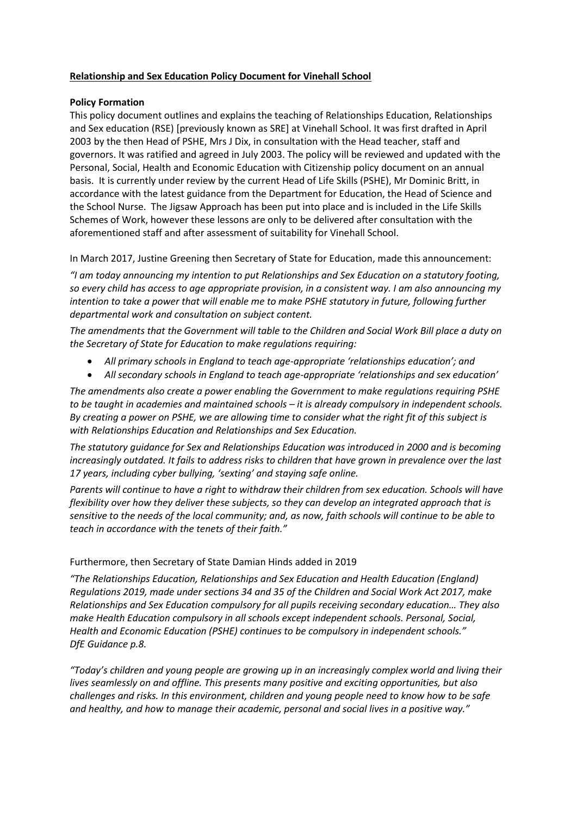# **Relationship and Sex Education Policy Document for Vinehall School**

## **Policy Formation**

This policy document outlines and explains the teaching of Relationships Education, Relationships and Sex education (RSE) [previously known as SRE] at Vinehall School. It was first drafted in April 2003 by the then Head of PSHE, Mrs J Dix, in consultation with the Head teacher, staff and governors. It was ratified and agreed in July 2003. The policy will be reviewed and updated with the Personal, Social, Health and Economic Education with Citizenship policy document on an annual basis. It is currently under review by the current Head of Life Skills (PSHE), Mr Dominic Britt, in accordance with the latest guidance from the Department for Education, the Head of Science and the School Nurse. The Jigsaw Approach has been put into place and is included in the Life Skills Schemes of Work, however these lessons are only to be delivered after consultation with the aforementioned staff and after assessment of suitability for Vinehall School.

In March 2017, Justine Greening then Secretary of State for Education, made this announcement:

*"I am today announcing my intention to put Relationships and Sex Education on a statutory footing, so every child has access to age appropriate provision, in a consistent way. I am also announcing my intention to take a power that will enable me to make PSHE statutory in future, following further departmental work and consultation on subject content.*

*The amendments that the Government will table to the Children and Social Work Bill place a duty on the Secretary of State for Education to make regulations requiring:*

- *All primary schools in England to teach age-appropriate 'relationships education'; and*
- *All secondary schools in England to teach age-appropriate 'relationships and sex education'*

*The amendments also create a power enabling the Government to make regulations requiring PSHE to be taught in academies and maintained schools – it is already compulsory in independent schools. By creating a power on PSHE, we are allowing time to consider what the right fit of this subject is with Relationships Education and Relationships and Sex Education.*

*The statutory guidance for Sex and Relationships Education was introduced in 2000 and is becoming increasingly outdated. It fails to address risks to children that have grown in prevalence over the last 17 years, including cyber bullying, 'sexting' and staying safe online.*

*Parents will continue to have a right to withdraw their children from sex education. Schools will have flexibility over how they deliver these subjects, so they can develop an integrated approach that is sensitive to the needs of the local community; and, as now, faith schools will continue to be able to teach in accordance with the tenets of their faith."*

## Furthermore, then Secretary of State Damian Hinds added in 2019

*"The Relationships Education, Relationships and Sex Education and Health Education (England) Regulations 2019, made under sections 34 and 35 of the Children and Social Work Act 2017, make Relationships and Sex Education compulsory for all pupils receiving secondary education… They also make Health Education compulsory in all schools except independent schools. Personal, Social, Health and Economic Education (PSHE) continues to be compulsory in independent schools." DfE Guidance p.8.*

*"Today's children and young people are growing up in an increasingly complex world and living their lives seamlessly on and offline. This presents many positive and exciting opportunities, but also challenges and risks. In this environment, children and young people need to know how to be safe and healthy, and how to manage their academic, personal and social lives in a positive way."*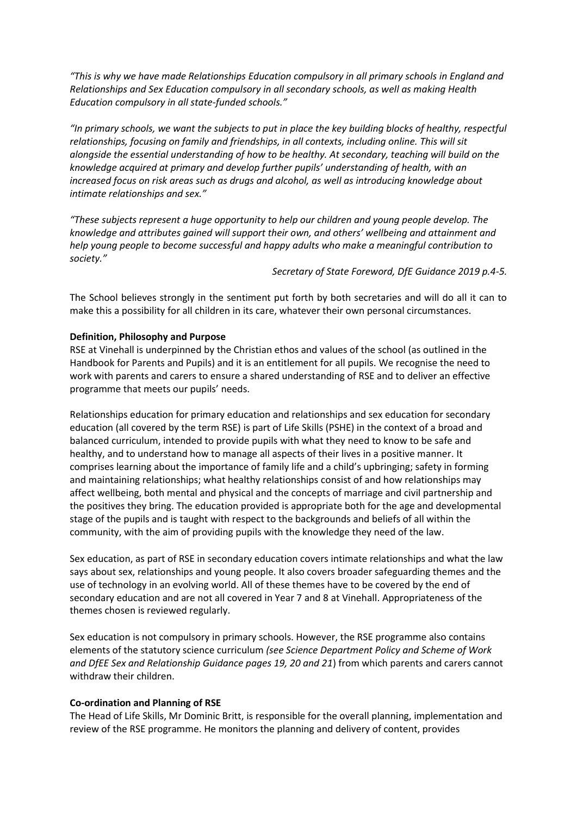*"This is why we have made Relationships Education compulsory in all primary schools in England and Relationships and Sex Education compulsory in all secondary schools, as well as making Health Education compulsory in all state-funded schools."*

*"In primary schools, we want the subjects to put in place the key building blocks of healthy, respectful relationships, focusing on family and friendships, in all contexts, including online. This will sit alongside the essential understanding of how to be healthy. At secondary, teaching will build on the knowledge acquired at primary and develop further pupils' understanding of health, with an increased focus on risk areas such as drugs and alcohol, as well as introducing knowledge about intimate relationships and sex."*

*"These subjects represent a huge opportunity to help our children and young people develop. The knowledge and attributes gained will support their own, and others' wellbeing and attainment and help young people to become successful and happy adults who make a meaningful contribution to society."*

*Secretary of State Foreword, DfE Guidance 2019 p.4-5.*

The School believes strongly in the sentiment put forth by both secretaries and will do all it can to make this a possibility for all children in its care, whatever their own personal circumstances.

## **Definition, Philosophy and Purpose**

RSE at Vinehall is underpinned by the Christian ethos and values of the school (as outlined in the Handbook for Parents and Pupils) and it is an entitlement for all pupils. We recognise the need to work with parents and carers to ensure a shared understanding of RSE and to deliver an effective programme that meets our pupils' needs.

Relationships education for primary education and relationships and sex education for secondary education (all covered by the term RSE) is part of Life Skills (PSHE) in the context of a broad and balanced curriculum, intended to provide pupils with what they need to know to be safe and healthy, and to understand how to manage all aspects of their lives in a positive manner. It comprises learning about the importance of family life and a child's upbringing; safety in forming and maintaining relationships; what healthy relationships consist of and how relationships may affect wellbeing, both mental and physical and the concepts of marriage and civil partnership and the positives they bring. The education provided is appropriate both for the age and developmental stage of the pupils and is taught with respect to the backgrounds and beliefs of all within the community, with the aim of providing pupils with the knowledge they need of the law.

Sex education, as part of RSE in secondary education covers intimate relationships and what the law says about sex, relationships and young people. It also covers broader safeguarding themes and the use of technology in an evolving world. All of these themes have to be covered by the end of secondary education and are not all covered in Year 7 and 8 at Vinehall. Appropriateness of the themes chosen is reviewed regularly.

Sex education is not compulsory in primary schools. However, the RSE programme also contains elements of the statutory science curriculum *(see Science Department Policy and Scheme of Work and DfEE Sex and Relationship Guidance pages 19, 20 and 21*) from which parents and carers cannot withdraw their children.

## **Co-ordination and Planning of RSE**

The Head of Life Skills, Mr Dominic Britt, is responsible for the overall planning, implementation and review of the RSE programme. He monitors the planning and delivery of content, provides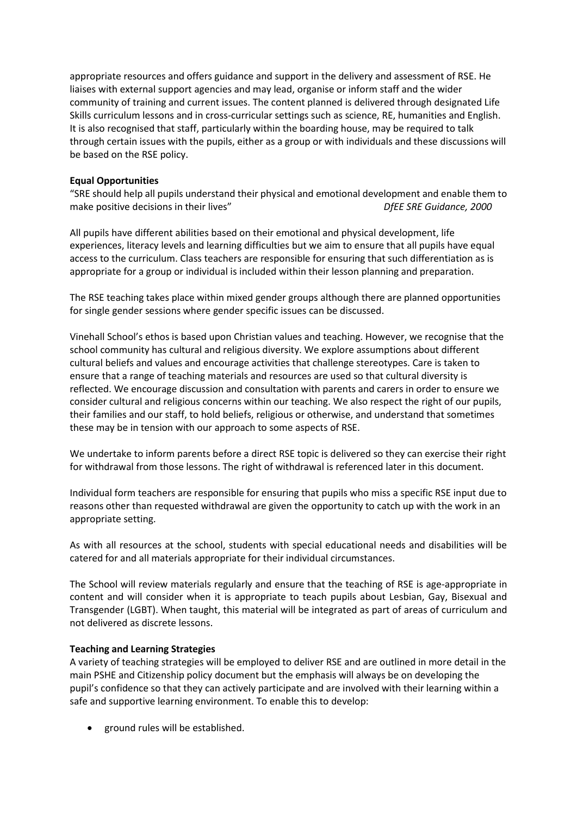appropriate resources and offers guidance and support in the delivery and assessment of RSE. He liaises with external support agencies and may lead, organise or inform staff and the wider community of training and current issues. The content planned is delivered through designated Life Skills curriculum lessons and in cross-curricular settings such as science, RE, humanities and English. It is also recognised that staff, particularly within the boarding house, may be required to talk through certain issues with the pupils, either as a group or with individuals and these discussions will be based on the RSE policy.

# **Equal Opportunities**

"SRE should help all pupils understand their physical and emotional development and enable them to make positive decisions in their lives" *DfEE SRE Guidance, 2000*

All pupils have different abilities based on their emotional and physical development, life experiences, literacy levels and learning difficulties but we aim to ensure that all pupils have equal access to the curriculum. Class teachers are responsible for ensuring that such differentiation as is appropriate for a group or individual is included within their lesson planning and preparation.

The RSE teaching takes place within mixed gender groups although there are planned opportunities for single gender sessions where gender specific issues can be discussed.

Vinehall School's ethos is based upon Christian values and teaching. However, we recognise that the school community has cultural and religious diversity. We explore assumptions about different cultural beliefs and values and encourage activities that challenge stereotypes. Care is taken to ensure that a range of teaching materials and resources are used so that cultural diversity is reflected. We encourage discussion and consultation with parents and carers in order to ensure we consider cultural and religious concerns within our teaching. We also respect the right of our pupils, their families and our staff, to hold beliefs, religious or otherwise, and understand that sometimes these may be in tension with our approach to some aspects of RSE.

We undertake to inform parents before a direct RSE topic is delivered so they can exercise their right for withdrawal from those lessons. The right of withdrawal is referenced later in this document.

Individual form teachers are responsible for ensuring that pupils who miss a specific RSE input due to reasons other than requested withdrawal are given the opportunity to catch up with the work in an appropriate setting.

As with all resources at the school, students with special educational needs and disabilities will be catered for and all materials appropriate for their individual circumstances.

The School will review materials regularly and ensure that the teaching of RSE is age-appropriate in content and will consider when it is appropriate to teach pupils about Lesbian, Gay, Bisexual and Transgender (LGBT). When taught, this material will be integrated as part of areas of curriculum and not delivered as discrete lessons.

## **Teaching and Learning Strategies**

A variety of teaching strategies will be employed to deliver RSE and are outlined in more detail in the main PSHE and Citizenship policy document but the emphasis will always be on developing the pupil's confidence so that they can actively participate and are involved with their learning within a safe and supportive learning environment. To enable this to develop:

• ground rules will be established.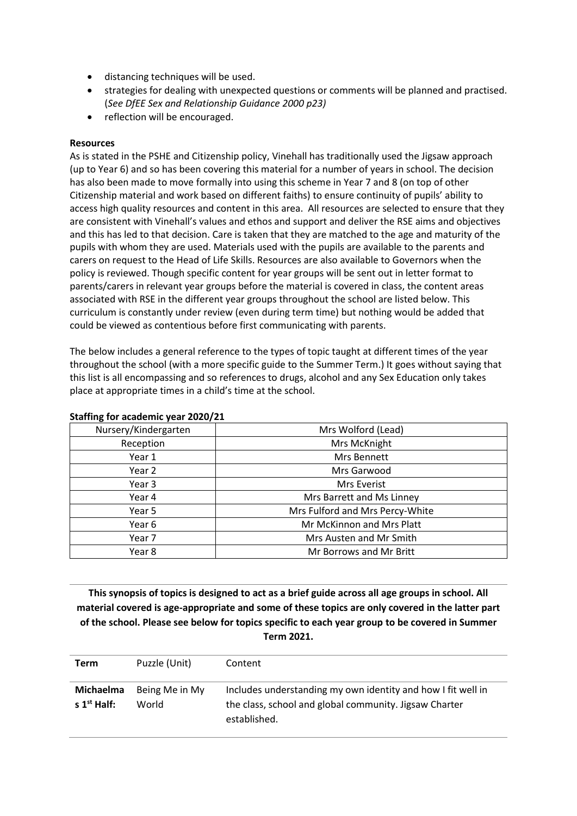- distancing techniques will be used.
- strategies for dealing with unexpected questions or comments will be planned and practised. (*See DfEE Sex and Relationship Guidance 2000 p23)*
- reflection will be encouraged.

## **Resources**

As is stated in the PSHE and Citizenship policy, Vinehall has traditionally used the Jigsaw approach (up to Year 6) and so has been covering this material for a number of years in school. The decision has also been made to move formally into using this scheme in Year 7 and 8 (on top of other Citizenship material and work based on different faiths) to ensure continuity of pupils' ability to access high quality resources and content in this area. All resources are selected to ensure that they are consistent with Vinehall's values and ethos and support and deliver the RSE aims and objectives and this has led to that decision. Care is taken that they are matched to the age and maturity of the pupils with whom they are used. Materials used with the pupils are available to the parents and carers on request to the Head of Life Skills. Resources are also available to Governors when the policy is reviewed. Though specific content for year groups will be sent out in letter format to parents/carers in relevant year groups before the material is covered in class, the content areas associated with RSE in the different year groups throughout the school are listed below. This curriculum is constantly under review (even during term time) but nothing would be added that could be viewed as contentious before first communicating with parents.

The below includes a general reference to the types of topic taught at different times of the year throughout the school (with a more specific guide to the Summer Term.) It goes without saying that this list is all encompassing and so references to drugs, alcohol and any Sex Education only takes place at appropriate times in a child's time at the school.

| Nursery/Kindergarten | Mrs Wolford (Lead)              |
|----------------------|---------------------------------|
| Reception            | Mrs McKnight                    |
| Year 1               | Mrs Bennett                     |
| Year 2               | Mrs Garwood                     |
| Year 3               | Mrs Everist                     |
| Year 4               | Mrs Barrett and Ms Linney       |
| Year 5               | Mrs Fulford and Mrs Percy-White |
| Year 6               | Mr McKinnon and Mrs Platt       |
| Year 7               | Mrs Austen and Mr Smith         |
| Year 8               | Mr Borrows and Mr Britt         |

## **Staffing for academic year 2020/21**

**This synopsis of topics is designed to act as a brief guide across all age groups in school. All material covered is age-appropriate and some of these topics are only covered in the latter part of the school. Please see below for topics specific to each year group to be covered in Summer Term 2021.**

| Term                                 | Puzzle (Unit)           | Content                                                                                                                                |
|--------------------------------------|-------------------------|----------------------------------------------------------------------------------------------------------------------------------------|
| Michaelma<br>s 1 <sup>st</sup> Half: | Being Me in My<br>World | Includes understanding my own identity and how I fit well in<br>the class, school and global community. Jigsaw Charter<br>established. |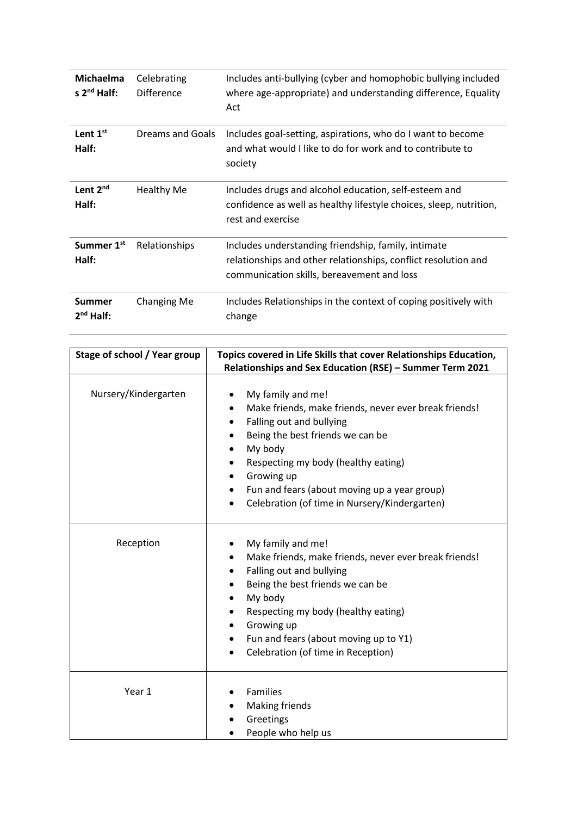| <b>Michaelma</b><br>s $2^{nd}$ Half:   | Celebrating<br>Difference | Includes anti-bullying (cyber and homophobic bullying included<br>where age-appropriate) and understanding difference, Equality<br>Act                              |
|----------------------------------------|---------------------------|---------------------------------------------------------------------------------------------------------------------------------------------------------------------|
| Lent $1st$<br>Half:                    | Dreams and Goals          | Includes goal-setting, aspirations, who do I want to become<br>and what would I like to do for work and to contribute to<br>society                                 |
| Lent 2nd<br>Half:                      | <b>Healthy Me</b>         | Includes drugs and alcohol education, self-esteem and<br>confidence as well as healthy lifestyle choices, sleep, nutrition,<br>rest and exercise                    |
| Summer 1 <sup>st</sup><br>Half:        | Relationships             | Includes understanding friendship, family, intimate<br>relationships and other relationships, conflict resolution and<br>communication skills, bereavement and loss |
| <b>Summer</b><br>2 <sup>nd</sup> Half: | Changing Me               | Includes Relationships in the context of coping positively with<br>change                                                                                           |

| Stage of school / Year group | Topics covered in Life Skills that cover Relationships Education,<br>Relationships and Sex Education (RSE) - Summer Term 2021                                                                                                                                                                                                                                     |
|------------------------------|-------------------------------------------------------------------------------------------------------------------------------------------------------------------------------------------------------------------------------------------------------------------------------------------------------------------------------------------------------------------|
| Nursery/Kindergarten         | My family and me!<br>Make friends, make friends, never ever break friends!<br>$\bullet$<br>Falling out and bullying<br>٠<br>Being the best friends we can be<br>My body<br>$\bullet$<br>Respecting my body (healthy eating)<br>٠<br>Growing up<br>٠<br>Fun and fears (about moving up a year group)<br>Celebration (of time in Nursery/Kindergarten)<br>$\bullet$ |
| Reception                    | My family and me!<br>Make friends, make friends, never ever break friends!<br>$\bullet$<br>Falling out and bullying<br>٠<br>Being the best friends we can be<br>My body<br>$\bullet$<br>Respecting my body (healthy eating)<br>Growing up<br>٠<br>Fun and fears (about moving up to Y1)<br>٠<br>Celebration (of time in Reception)                                |
| Year 1                       | Families<br><b>Making friends</b><br>Greetings<br>People who help us                                                                                                                                                                                                                                                                                              |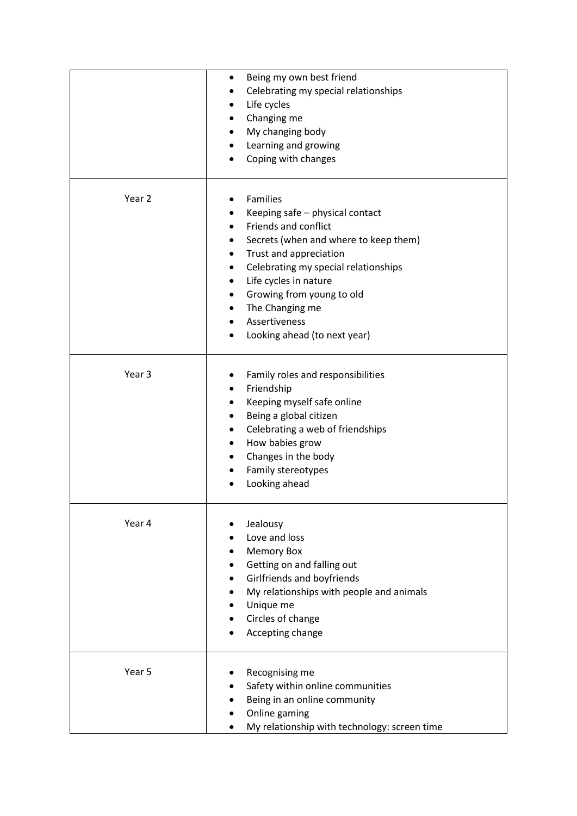|        | Being my own best friend<br>Celebrating my special relationships<br>Life cycles<br>Changing me<br>My changing body<br>Learning and growing<br>Coping with changes                                                                                                                                                     |
|--------|-----------------------------------------------------------------------------------------------------------------------------------------------------------------------------------------------------------------------------------------------------------------------------------------------------------------------|
| Year 2 | Families<br>Keeping safe - physical contact<br>Friends and conflict<br>Secrets (when and where to keep them)<br>Trust and appreciation<br>$\bullet$<br>Celebrating my special relationships<br>Life cycles in nature<br>Growing from young to old<br>The Changing me<br>Assertiveness<br>Looking ahead (to next year) |
| Year 3 | Family roles and responsibilities<br>Friendship<br>Keeping myself safe online<br>Being a global citizen<br>Celebrating a web of friendships<br>How babies grow<br>Changes in the body<br>Family stereotypes<br>Looking ahead                                                                                          |
| Year 4 | Jealousy<br>Love and loss<br><b>Memory Box</b><br>Getting on and falling out<br>Girlfriends and boyfriends<br>My relationships with people and animals<br>Unique me<br>Circles of change<br>Accepting change                                                                                                          |
| Year 5 | Recognising me<br>Safety within online communities<br>Being in an online community<br>Online gaming<br>My relationship with technology: screen time                                                                                                                                                                   |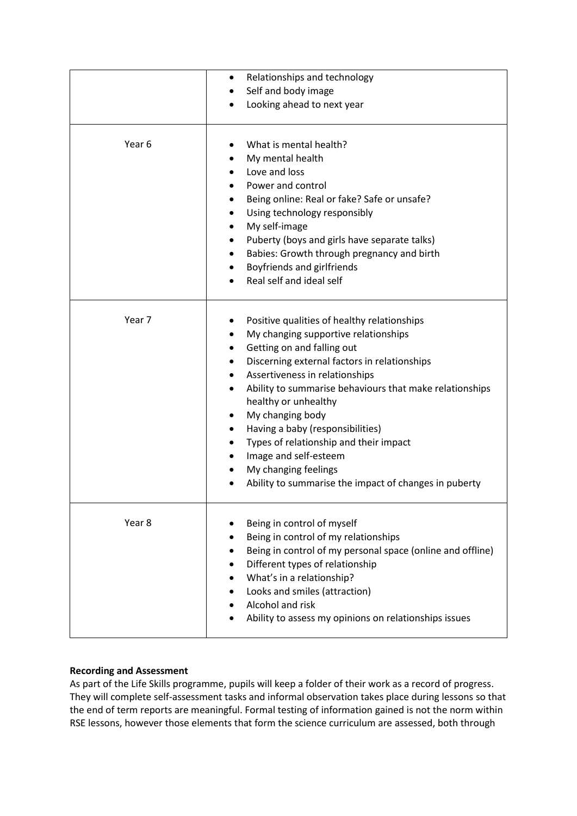|        | Relationships and technology<br>Self and body image                                                                                                                                                                                                                                                                                                                                                                                                                                                |
|--------|----------------------------------------------------------------------------------------------------------------------------------------------------------------------------------------------------------------------------------------------------------------------------------------------------------------------------------------------------------------------------------------------------------------------------------------------------------------------------------------------------|
|        | Looking ahead to next year                                                                                                                                                                                                                                                                                                                                                                                                                                                                         |
| Year 6 | What is mental health?<br>My mental health<br>Love and loss<br>Power and control<br>Being online: Real or fake? Safe or unsafe?<br>Using technology responsibly<br>My self-image<br>Puberty (boys and girls have separate talks)<br>Babies: Growth through pregnancy and birth<br>Boyfriends and girlfriends<br>Real self and ideal self                                                                                                                                                           |
| Year 7 | Positive qualities of healthy relationships<br>My changing supportive relationships<br>Getting on and falling out<br>Discerning external factors in relationships<br>Assertiveness in relationships<br>Ability to summarise behaviours that make relationships<br>healthy or unhealthy<br>My changing body<br>Having a baby (responsibilities)<br>Types of relationship and their impact<br>Image and self-esteem<br>My changing feelings<br>Ability to summarise the impact of changes in puberty |
| Year 8 | Being in control of myself<br>Being in control of my relationships<br>Being in control of my personal space (online and offline)<br>Different types of relationship<br>What's in a relationship?<br>Looks and smiles (attraction)<br>Alcohol and risk<br>Ability to assess my opinions on relationships issues                                                                                                                                                                                     |

# **Recording and Assessment**

As part of the Life Skills programme, pupils will keep a folder of their work as a record of progress. They will complete self-assessment tasks and informal observation takes place during lessons so that the end of term reports are meaningful. Formal testing of information gained is not the norm within RSE lessons, however those elements that form the science curriculum are assessed, both through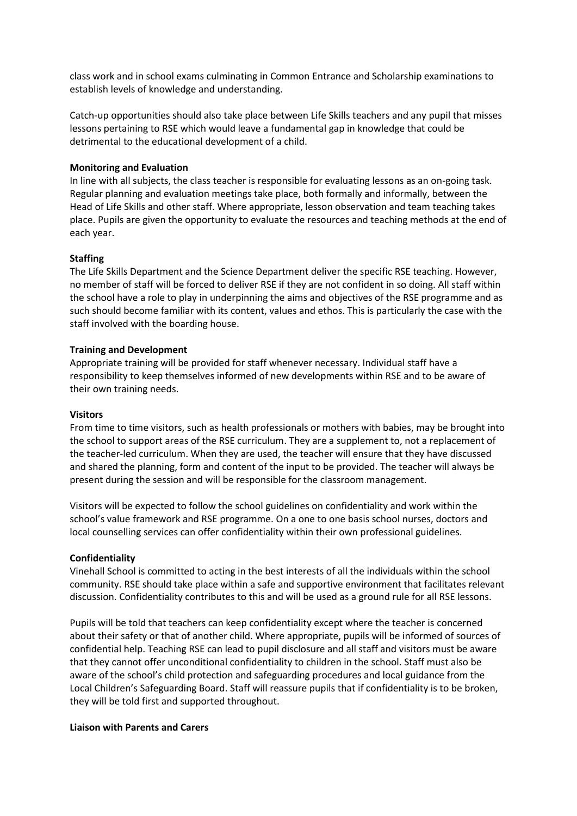class work and in school exams culminating in Common Entrance and Scholarship examinations to establish levels of knowledge and understanding.

Catch-up opportunities should also take place between Life Skills teachers and any pupil that misses lessons pertaining to RSE which would leave a fundamental gap in knowledge that could be detrimental to the educational development of a child.

## **Monitoring and Evaluation**

In line with all subjects, the class teacher is responsible for evaluating lessons as an on-going task. Regular planning and evaluation meetings take place, both formally and informally, between the Head of Life Skills and other staff. Where appropriate, lesson observation and team teaching takes place. Pupils are given the opportunity to evaluate the resources and teaching methods at the end of each year.

### **Staffing**

The Life Skills Department and the Science Department deliver the specific RSE teaching. However, no member of staff will be forced to deliver RSE if they are not confident in so doing. All staff within the school have a role to play in underpinning the aims and objectives of the RSE programme and as such should become familiar with its content, values and ethos. This is particularly the case with the staff involved with the boarding house.

### **Training and Development**

Appropriate training will be provided for staff whenever necessary. Individual staff have a responsibility to keep themselves informed of new developments within RSE and to be aware of their own training needs.

#### **Visitors**

From time to time visitors, such as health professionals or mothers with babies, may be brought into the school to support areas of the RSE curriculum. They are a supplement to, not a replacement of the teacher-led curriculum. When they are used, the teacher will ensure that they have discussed and shared the planning, form and content of the input to be provided. The teacher will always be present during the session and will be responsible for the classroom management.

Visitors will be expected to follow the school guidelines on confidentiality and work within the school's value framework and RSE programme. On a one to one basis school nurses, doctors and local counselling services can offer confidentiality within their own professional guidelines.

### **Confidentiality**

Vinehall School is committed to acting in the best interests of all the individuals within the school community. RSE should take place within a safe and supportive environment that facilitates relevant discussion. Confidentiality contributes to this and will be used as a ground rule for all RSE lessons.

Pupils will be told that teachers can keep confidentiality except where the teacher is concerned about their safety or that of another child. Where appropriate, pupils will be informed of sources of confidential help. Teaching RSE can lead to pupil disclosure and all staff and visitors must be aware that they cannot offer unconditional confidentiality to children in the school. Staff must also be aware of the school's child protection and safeguarding procedures and local guidance from the Local Children's Safeguarding Board. Staff will reassure pupils that if confidentiality is to be broken, they will be told first and supported throughout.

### **Liaison with Parents and Carers**